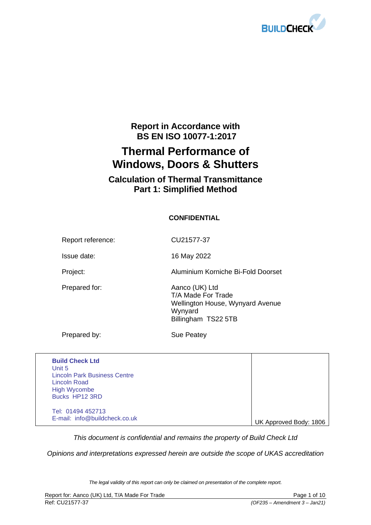

## **Report in Accordance with BS EN ISO 10077-1:2017**

# **Thermal Performance of Windows, Doors & Shutters**

## **Calculation of Thermal Transmittance Part 1: Simplified Method**

### **CONFIDENTIAL**

Report reference: CU21577-37

Issue date: 16 May 2022

Project: Aluminium Korniche Bi-Fold Doorset

Prepared for: Aanco (UK) Ltd T/A Made For Trade Wellington House, Wynyard Avenue Wynyard Billingham TS22 5TB

Prepared by: Sue Peatey

| <b>Build Check Ltd</b><br>Unit 5<br><b>Lincoln Park Business Centre</b><br><b>Lincoln Road</b><br><b>High Wycombe</b><br>Bucks HP12 3RD |                        |
|-----------------------------------------------------------------------------------------------------------------------------------------|------------------------|
| Tel: 01494 452713<br>E-mail: info@buildcheck.co.uk                                                                                      | UK Approved Body: 1806 |

*This document is confidential and remains the property of Build Check Ltd*

*Opinions and interpretations expressed herein are outside the scope of UKAS accreditation*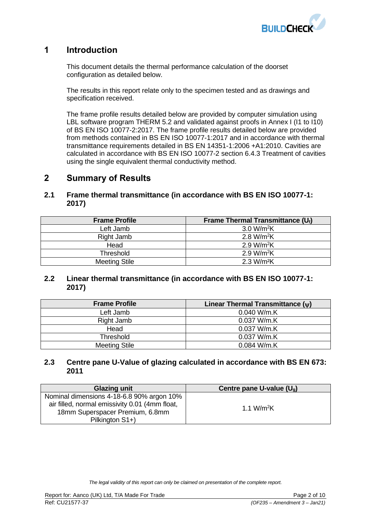

### **1 Introduction**

This document details the thermal performance calculation of the doorset configuration as detailed below.

The results in this report relate only to the specimen tested and as drawings and specification received.

The frame profile results detailed below are provided by computer simulation using LBL software program THERM 5.2 and validated against proofs in Annex I (I1 to I10) of BS EN ISO 10077-2:2017. The frame profile results detailed below are provided from methods contained in BS EN ISO 10077-1:2017 and in accordance with thermal transmittance requirements detailed in BS EN 14351-1:2006 +A1:2010. Cavities are calculated in accordance with BS EN ISO 10077-2 section 6.4.3 Treatment of cavities using the single equivalent thermal conductivity method.

## **2 Summary of Results**

#### **2.1 Frame thermal transmittance (in accordance with BS EN ISO 10077-1: 2017)**

| <b>Frame Profile</b> | Frame Thermal Transmittance $(U_i)$ |
|----------------------|-------------------------------------|
| Left Jamb            | 3.0 W/m <sup>2</sup> K              |
| Right Jamb           | 2.8 W/m <sup>2</sup> K              |
| Head                 | 2.9 W/m <sup>2</sup> K              |
| Threshold            | 2.9 W/m <sup>2</sup> K              |
| <b>Meeting Stile</b> | 2.3 W/m <sup>2</sup> K              |

### **2.2 Linear thermal transmittance (in accordance with BS EN ISO 10077-1: 2017)**

| <b>Frame Profile</b> | Linear Thermal Transmittance $(\psi)$ |
|----------------------|---------------------------------------|
| Left Jamb            | 0.040 W/m.K                           |
| Right Jamb           | 0.037 W/m.K                           |
| Head                 | 0.037 W/m.K                           |
| Threshold            | 0.037 W/m.K                           |
| <b>Meeting Stile</b> | 0.084 W/m.K                           |

#### **2.3 Centre pane U-Value of glazing calculated in accordance with BS EN 673: 2011**

| <b>Glazing unit</b>                            | Centre pane U-value $(U_{q})$ |
|------------------------------------------------|-------------------------------|
| Nominal dimensions 4-18-6.8 90% argon 10%      |                               |
| air filled, normal emissivity 0.01 (4mm float, | 1.1 W/m <sup>2</sup> K        |
| 18mm Superspacer Premium, 6.8mm                |                               |
| Pilkington S1+)                                |                               |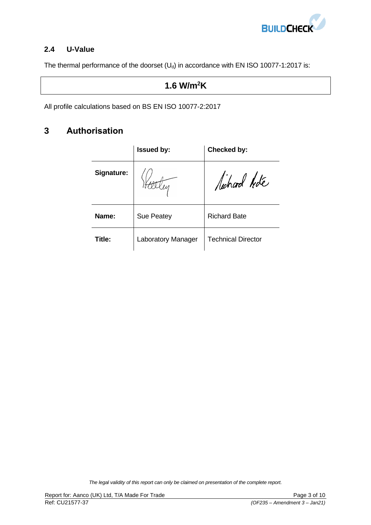

### **2.4 U-Value**

The thermal performance of the doorset  $(U_d)$  in accordance with EN ISO 10077-1:2017 is:

## **1.6 W/m<sup>2</sup>K**

All profile calculations based on BS EN ISO 10077-2:2017

## **3 Authorisation**

|            | <b>Issued by:</b>         | Checked by:               |
|------------|---------------------------|---------------------------|
| Signature: |                           | lichard Hde               |
| Name:      | <b>Sue Peatey</b>         | <b>Richard Bate</b>       |
| Title:     | <b>Laboratory Manager</b> | <b>Technical Director</b> |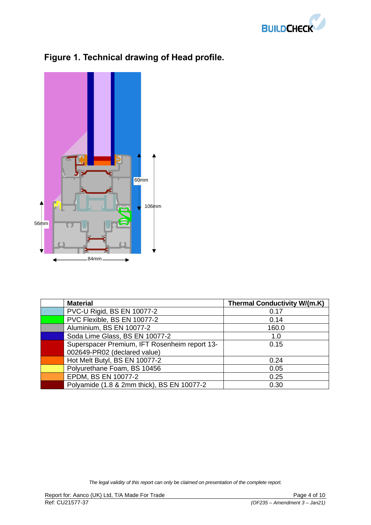



# **Figure 1. Technical drawing of Head profile.**

| <b>Material</b>                               | <b>Thermal Conductivity W/(m.K)</b> |
|-----------------------------------------------|-------------------------------------|
| PVC-U Rigid, BS EN 10077-2                    | 0.17                                |
| PVC Flexible, BS EN 10077-2                   | 0.14                                |
| Aluminium, BS EN 10077-2                      | 160.0                               |
| Soda Lime Glass, BS EN 10077-2                | 1.0                                 |
| Superspacer Premium, IFT Rosenheim report 13- | 0.15                                |
| 002649-PR02 (declared value)                  |                                     |
| Hot Melt Butyl, BS EN 10077-2                 | 0.24                                |
| Polyurethane Foam, BS 10456                   | 0.05                                |
| EPDM, BS EN 10077-2                           | 0.25                                |
| Polyamide (1.8 & 2mm thick), BS EN 10077-2    | 0.30                                |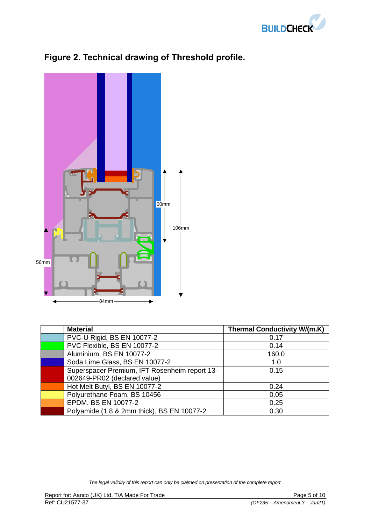



# **Figure 2. Technical drawing of Threshold profile.**

| <b>Material</b>                               | <b>Thermal Conductivity W/(m.K)</b> |
|-----------------------------------------------|-------------------------------------|
| PVC-U Rigid, BS EN 10077-2                    | 0.17                                |
| PVC Flexible, BS EN 10077-2                   | 0.14                                |
| Aluminium, BS EN 10077-2                      | 160.0                               |
| Soda Lime Glass, BS EN 10077-2                | 1.0                                 |
| Superspacer Premium, IFT Rosenheim report 13- | 0.15                                |
| 002649-PR02 (declared value)                  |                                     |
| Hot Melt Butyl, BS EN 10077-2                 | 0.24                                |
| Polyurethane Foam, BS 10456                   | 0.05                                |
| EPDM, BS EN 10077-2                           | 0.25                                |
| Polyamide (1.8 & 2mm thick), BS EN 10077-2    | 0.30                                |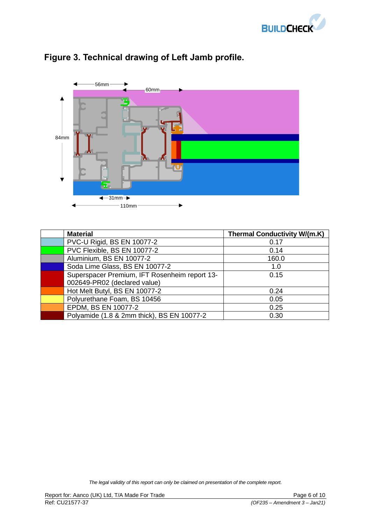



# **Figure 3. Technical drawing of Left Jamb profile.**

| <b>Material</b>                               | <b>Thermal Conductivity W/(m.K)</b> |
|-----------------------------------------------|-------------------------------------|
| PVC-U Rigid, BS EN 10077-2                    | 0.17                                |
| PVC Flexible, BS EN 10077-2                   | 0.14                                |
| Aluminium, BS EN 10077-2                      | 160.0                               |
| Soda Lime Glass, BS EN 10077-2                | 1.0                                 |
| Superspacer Premium, IFT Rosenheim report 13- | 0.15                                |
| 002649-PR02 (declared value)                  |                                     |
| Hot Melt Butyl, BS EN 10077-2                 | 0.24                                |
| Polyurethane Foam, BS 10456                   | 0.05                                |
| EPDM, BS EN 10077-2                           | 0.25                                |
| Polyamide (1.8 & 2mm thick), BS EN 10077-2    | 0.30                                |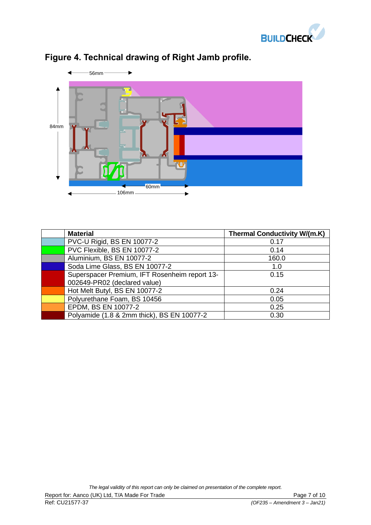



# **Figure 4. Technical drawing of Right Jamb profile.**

| <b>Material</b>                               | <b>Thermal Conductivity W/(m.K)</b> |
|-----------------------------------------------|-------------------------------------|
| PVC-U Rigid, BS EN 10077-2                    | 0.17                                |
| PVC Flexible, BS EN 10077-2                   | 0.14                                |
| Aluminium, BS EN 10077-2                      | 160.0                               |
| Soda Lime Glass, BS EN 10077-2                | 1.0                                 |
| Superspacer Premium, IFT Rosenheim report 13- | 0.15                                |
| 002649-PR02 (declared value)                  |                                     |
| Hot Melt Butyl, BS EN 10077-2                 | 0.24                                |
| Polyurethane Foam, BS 10456                   | 0.05                                |
| EPDM, BS EN 10077-2                           | 0.25                                |
| Polyamide (1.8 & 2mm thick), BS EN 10077-2    | 0.30                                |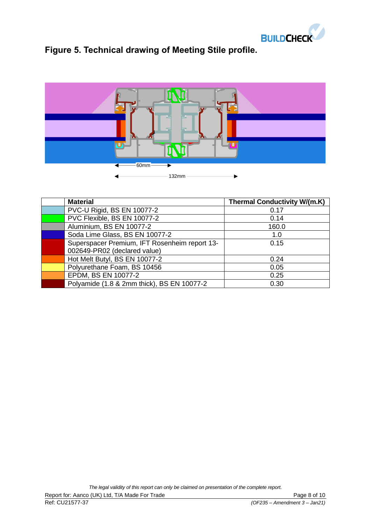

# **Figure 5. Technical drawing of Meeting Stile profile.**



| <b>Material</b>                               | <b>Thermal Conductivity W/(m.K)</b> |
|-----------------------------------------------|-------------------------------------|
| PVC-U Rigid, BS EN 10077-2                    | 0.17                                |
| PVC Flexible, BS EN 10077-2                   | 0.14                                |
| Aluminium, BS EN 10077-2                      | 160.0                               |
| Soda Lime Glass, BS EN 10077-2                | 1.0                                 |
| Superspacer Premium, IFT Rosenheim report 13- | 0.15                                |
| 002649-PR02 (declared value)                  |                                     |
| Hot Melt Butyl, BS EN 10077-2                 | 0.24                                |
| Polyurethane Foam, BS 10456                   | 0.05                                |
| EPDM, BS EN 10077-2                           | 0.25                                |
| Polyamide (1.8 & 2mm thick), BS EN 10077-2    | 0.30                                |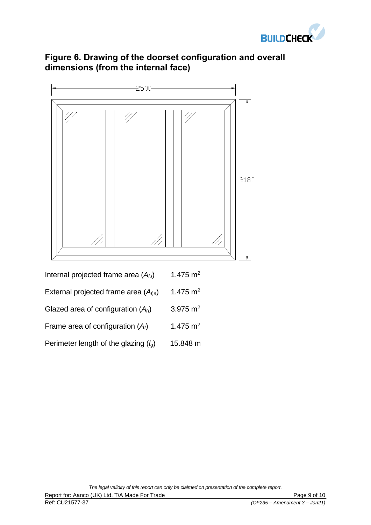

## **Figure 6. Drawing of the doorset configuration and overall dimensions (from the internal face)**



| External projected frame area $(A_{f,e})$ | 1.475 $m2$ |
|-------------------------------------------|------------|
|-------------------------------------------|------------|

| Glazed area of configuration $(Ag)$ | 3.975 $m2$ |
|-------------------------------------|------------|
|-------------------------------------|------------|

- Frame area of configuration  $(A_f)$  1.475 m<sup>2</sup>
- Perimeter length of the glazing (*lg*) 15.848 m